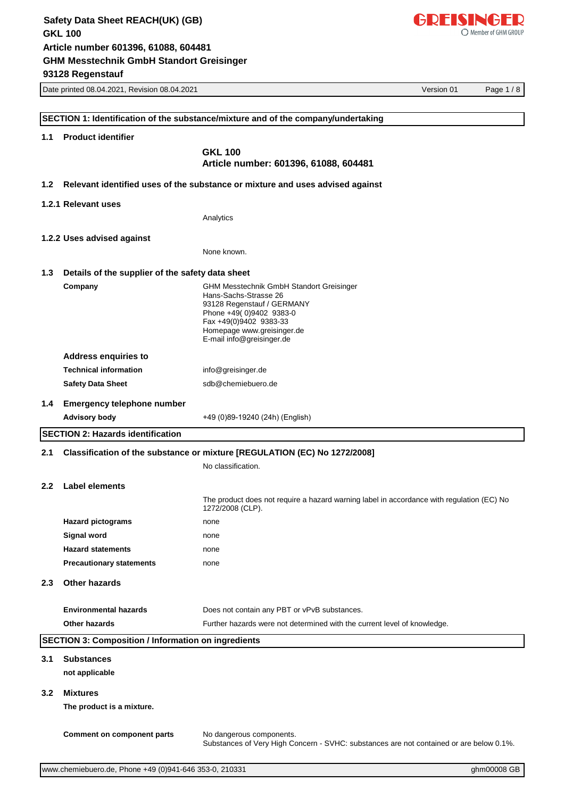

|                  | Date printed 08.04.2021, Revision 08.04.2021                | Version 01<br>Page 1/8                                                                                              |
|------------------|-------------------------------------------------------------|---------------------------------------------------------------------------------------------------------------------|
|                  |                                                             |                                                                                                                     |
|                  |                                                             | SECTION 1: Identification of the substance/mixture and of the company/undertaking                                   |
| 1.1              | <b>Product identifier</b>                                   |                                                                                                                     |
|                  |                                                             | <b>GKL 100</b>                                                                                                      |
|                  |                                                             | Article number: 601396, 61088, 604481                                                                               |
| 1.2 <sub>1</sub> |                                                             | Relevant identified uses of the substance or mixture and uses advised against                                       |
|                  |                                                             |                                                                                                                     |
|                  | 1.2.1 Relevant uses                                         |                                                                                                                     |
|                  |                                                             | Analytics                                                                                                           |
|                  | 1.2.2 Uses advised against                                  |                                                                                                                     |
|                  |                                                             | None known.                                                                                                         |
|                  |                                                             |                                                                                                                     |
| 1.3              | Details of the supplier of the safety data sheet            |                                                                                                                     |
|                  | Company                                                     | <b>GHM Messtechnik GmbH Standort Greisinger</b><br>Hans-Sachs-Strasse 26                                            |
|                  |                                                             | 93128 Regenstauf / GERMANY                                                                                          |
|                  |                                                             | Phone +49(0)9402 9383-0<br>Fax +49(0)9402 9383-33                                                                   |
|                  |                                                             | Homepage www.greisinger.de<br>E-mail info@greisinger.de                                                             |
|                  |                                                             |                                                                                                                     |
|                  | <b>Address enquiries to</b><br><b>Technical information</b> |                                                                                                                     |
|                  |                                                             | info@greisinger.de<br>sdb@chemiebuero.de                                                                            |
|                  | <b>Safety Data Sheet</b>                                    |                                                                                                                     |
| 1.4              | <b>Emergency telephone number</b>                           |                                                                                                                     |
|                  | <b>Advisory body</b>                                        | +49 (0)89-19240 (24h) (English)                                                                                     |
|                  | <b>SECTION 2: Hazards identification</b>                    |                                                                                                                     |
| 2.1              |                                                             | Classification of the substance or mixture [REGULATION (EC) No 1272/2008]                                           |
|                  |                                                             | No classification.                                                                                                  |
| $2.2^{\circ}$    | <b>Label elements</b>                                       |                                                                                                                     |
|                  |                                                             |                                                                                                                     |
|                  |                                                             | The product does not require a hazard warning label in accordance with regulation (EC) No<br>1272/2008 (CLP).       |
|                  | <b>Hazard pictograms</b>                                    | none                                                                                                                |
|                  | Signal word                                                 | none                                                                                                                |
|                  | <b>Hazard statements</b>                                    | none                                                                                                                |
|                  | <b>Precautionary statements</b>                             | none                                                                                                                |
| 2.3              | <b>Other hazards</b>                                        |                                                                                                                     |
|                  |                                                             |                                                                                                                     |
|                  | <b>Environmental hazards</b>                                | Does not contain any PBT or vPvB substances.                                                                        |
|                  | Other hazards                                               | Further hazards were not determined with the current level of knowledge.                                            |
|                  | <b>SECTION 3: Composition / Information on ingredients</b>  |                                                                                                                     |
| 3.1              | <b>Substances</b>                                           |                                                                                                                     |
|                  | not applicable                                              |                                                                                                                     |
|                  |                                                             |                                                                                                                     |
| $3.2^{\circ}$    | <b>Mixtures</b>                                             |                                                                                                                     |
|                  | The product is a mixture.                                   |                                                                                                                     |
|                  |                                                             |                                                                                                                     |
|                  | <b>Comment on component parts</b>                           | No dangerous components.<br>Substances of Very High Concern - SVHC: substances are not contained or are below 0.1%. |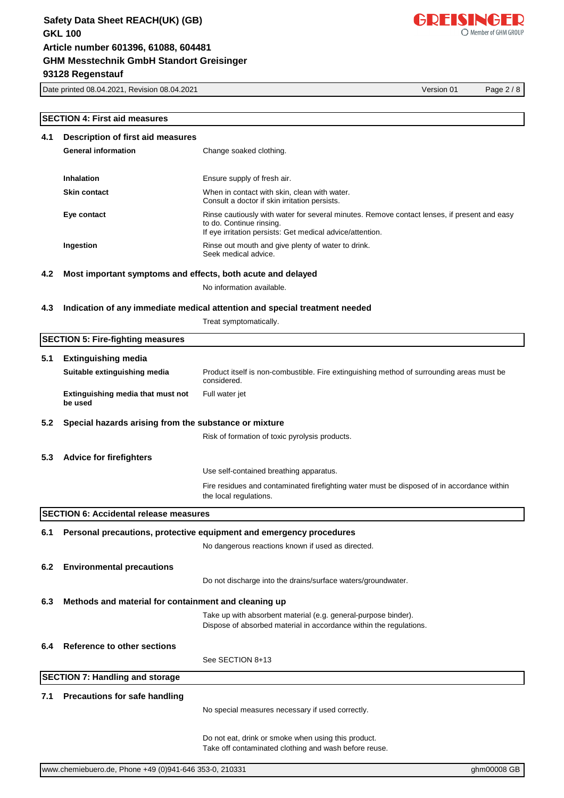Date printed 08.04.2021, Revision 08.04.2021 Version 01 Page 2 / 8

#### **SECTION 4: First aid measures**

| 4.1<br><b>Description of first aid measures</b> |                                                             |                                                                                                                                                                                      |  |
|-------------------------------------------------|-------------------------------------------------------------|--------------------------------------------------------------------------------------------------------------------------------------------------------------------------------------|--|
|                                                 | <b>General information</b>                                  | Change soaked clothing.                                                                                                                                                              |  |
|                                                 |                                                             |                                                                                                                                                                                      |  |
|                                                 | Inhalation                                                  | Ensure supply of fresh air.                                                                                                                                                          |  |
|                                                 | <b>Skin contact</b>                                         | When in contact with skin, clean with water.<br>Consult a doctor if skin irritation persists.                                                                                        |  |
|                                                 | Eye contact                                                 | Rinse cautiously with water for several minutes. Remove contact lenses, if present and easy<br>to do. Continue rinsing.<br>If eye irritation persists: Get medical advice/attention. |  |
|                                                 | Ingestion                                                   | Rinse out mouth and give plenty of water to drink.<br>Seek medical advice.                                                                                                           |  |
| 4.2                                             | Most important symptoms and effects, both acute and delayed |                                                                                                                                                                                      |  |
|                                                 |                                                             | No information available.                                                                                                                                                            |  |
| 4.3                                             |                                                             | Indication of any immediate medical attention and special treatment needed                                                                                                           |  |
|                                                 |                                                             | Treat symptomatically.                                                                                                                                                               |  |
|                                                 | <b>SECTION 5: Fire-fighting measures</b>                    |                                                                                                                                                                                      |  |
| 5.1                                             | <b>Extinguishing media</b>                                  |                                                                                                                                                                                      |  |
|                                                 | Suitable extinguishing media                                | Product itself is non-combustible. Fire extinguishing method of surrounding areas must be<br>considered.                                                                             |  |
|                                                 | Extinguishing media that must not<br>be used                | Full water jet                                                                                                                                                                       |  |
| 5.2                                             | Special hazards arising from the substance or mixture       |                                                                                                                                                                                      |  |
|                                                 |                                                             | Risk of formation of toxic pyrolysis products.                                                                                                                                       |  |
| 5.3                                             | <b>Advice for firefighters</b>                              |                                                                                                                                                                                      |  |
|                                                 |                                                             | Use self-contained breathing apparatus.                                                                                                                                              |  |
|                                                 |                                                             | Fire residues and contaminated firefighting water must be disposed of in accordance within<br>the local regulations.                                                                 |  |
|                                                 | <b>SECTION 6: Accidental release measures</b>               |                                                                                                                                                                                      |  |
| 6.1                                             |                                                             | Personal precautions, protective equipment and emergency procedures                                                                                                                  |  |
|                                                 |                                                             | No dangerous reactions known if used as directed.                                                                                                                                    |  |
|                                                 |                                                             |                                                                                                                                                                                      |  |
| 6.2                                             | <b>Environmental precautions</b>                            |                                                                                                                                                                                      |  |
|                                                 |                                                             | Do not discharge into the drains/surface waters/groundwater.                                                                                                                         |  |
| 6.3                                             | Methods and material for containment and cleaning up        |                                                                                                                                                                                      |  |
|                                                 |                                                             | Take up with absorbent material (e.g. general-purpose binder).                                                                                                                       |  |

Dispose of absorbed material in accordance within the regulations.

#### **6.4 Reference to other sections**

See SECTION 8+13

#### **SECTION 7: Handling and storage**

## **7.1 Precautions for safe handling**

No special measures necessary if used correctly.

Do not eat, drink or smoke when using this product. Take off contaminated clothing and wash before reuse.



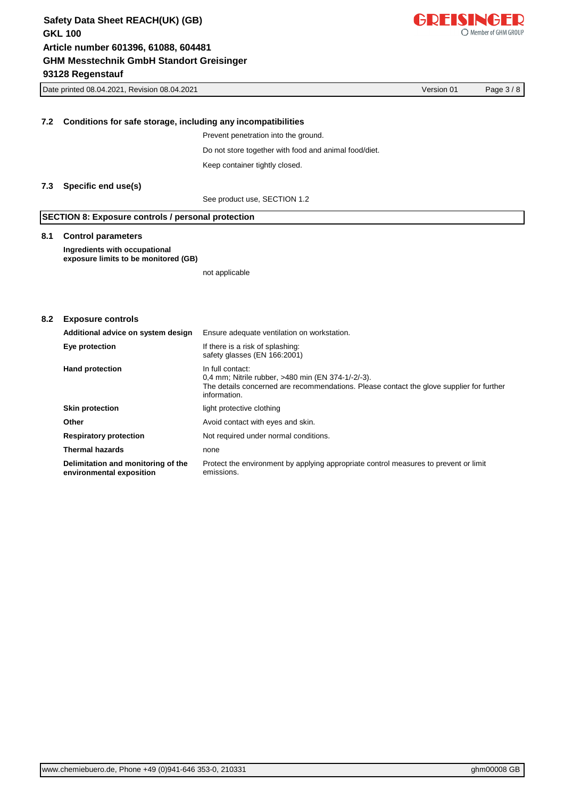|     | Version 01<br>Date printed 08.04.2021, Revision 08.04.2021            |                                                                                                                                                                                    |  | Page $3/8$ |
|-----|-----------------------------------------------------------------------|------------------------------------------------------------------------------------------------------------------------------------------------------------------------------------|--|------------|
|     |                                                                       |                                                                                                                                                                                    |  |            |
| 7.2 | Conditions for safe storage, including any incompatibilities          |                                                                                                                                                                                    |  |            |
|     |                                                                       | Prevent penetration into the ground.                                                                                                                                               |  |            |
|     |                                                                       | Do not store together with food and animal food/diet.                                                                                                                              |  |            |
|     |                                                                       | Keep container tightly closed.                                                                                                                                                     |  |            |
|     |                                                                       |                                                                                                                                                                                    |  |            |
| 7.3 | Specific end use(s)                                                   |                                                                                                                                                                                    |  |            |
|     |                                                                       | See product use, SECTION 1.2                                                                                                                                                       |  |            |
|     | <b>SECTION 8: Exposure controls / personal protection</b>             |                                                                                                                                                                                    |  |            |
| 8.1 | <b>Control parameters</b>                                             |                                                                                                                                                                                    |  |            |
|     | Ingredients with occupational<br>exposure limits to be monitored (GB) |                                                                                                                                                                                    |  |            |
|     |                                                                       | not applicable                                                                                                                                                                     |  |            |
|     |                                                                       |                                                                                                                                                                                    |  |            |
|     |                                                                       |                                                                                                                                                                                    |  |            |
| 8.2 | <b>Exposure controls</b>                                              |                                                                                                                                                                                    |  |            |
|     | Additional advice on system design                                    | Ensure adequate ventilation on workstation.                                                                                                                                        |  |            |
|     | Eye protection                                                        | If there is a risk of splashing:<br>safety glasses (EN 166:2001)                                                                                                                   |  |            |
|     | <b>Hand protection</b>                                                | In full contact:<br>0,4 mm; Nitrile rubber, >480 min (EN 374-1/-2/-3).<br>The details concerned are recommendations. Please contact the glove supplier for further<br>information. |  |            |
|     | <b>Skin protection</b>                                                | light protective clothing                                                                                                                                                          |  |            |
|     | Other                                                                 | Avoid contact with eyes and skin.                                                                                                                                                  |  |            |
|     | <b>Respiratory protection</b>                                         | Not required under normal conditions.                                                                                                                                              |  |            |
|     | <b>Thermal hazards</b>                                                | none                                                                                                                                                                               |  |            |
|     | Delimitation and monitoring of the                                    | Protect the environment by applying appropriate control measures to prevent or limit                                                                                               |  |            |

emissions.

**environmental exposition**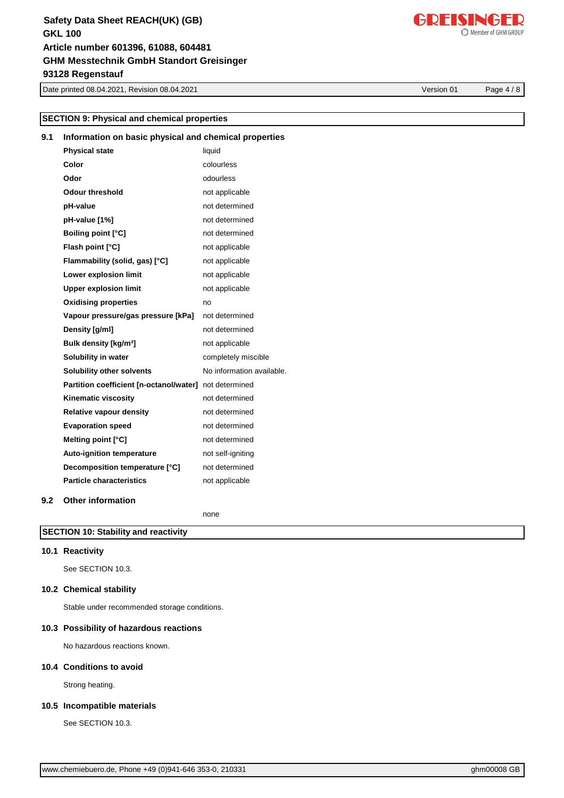Date printed 08.04.2021, Revision 08.04.2021 Version 01 Page 4 / 8

# **10.5 Incompatible materials**

See SECTION 10.3.

| www.chemiebuero.de, Phone +49 (0)941-646 353-0, 210331 |  |  |
|--------------------------------------------------------|--|--|
|                                                        |  |  |

# **SECTION 9: Physical and chemical properties**

# **9.1 Information on basic physical and chemical properties Physical state** liquid

| Color                                   | colourless                |
|-----------------------------------------|---------------------------|
| Odor                                    | odourless                 |
| <b>Odour threshold</b>                  | not applicable            |
| pH-value                                | not determined            |
| pH-value [1%]                           | not determined            |
| Boiling point [°C]                      | not determined            |
| Flash point [°C]                        | not applicable            |
| Flammability (solid, gas) [°C]          | not applicable            |
| Lower explosion limit                   | not applicable            |
| <b>Upper explosion limit</b>            | not applicable            |
| <b>Oxidising properties</b>             | no                        |
| Vapour pressure/gas pressure [kPa]      | not determined            |
| Density [g/ml]                          | not determined            |
| Bulk density [kg/m <sup>3</sup> ]       | not applicable            |
| Solubility in water                     | completely miscible       |
| <b>Solubility other solvents</b>        | No information available. |
| Partition coefficient [n-octanol/water] | not determined            |
| Kinematic viscosity                     | not determined            |
| <b>Relative vapour density</b>          | not determined            |
| <b>Evaporation speed</b>                | not determined            |
| Melting point [°C]                      | not determined            |
| <b>Auto-ignition temperature</b>        | not self-igniting         |
| Decomposition temperature [°C]          | not determined            |
| <b>Particle characteristics</b>         | not applicable            |
|                                         |                           |

#### **9.2 Other information**

none

## **SECTION 10: Stability and reactivity**

#### **10.1 Reactivity**

See SECTION 10.3.

### **10.2 Chemical stability**

Stable under recommended storage conditions.

### **10.3 Possibility of hazardous reactions**

No hazardous reactions known.

# **10.4 Conditions to avoid**

Strong heating.

# GDEISINGED

O Member of GHM GROUP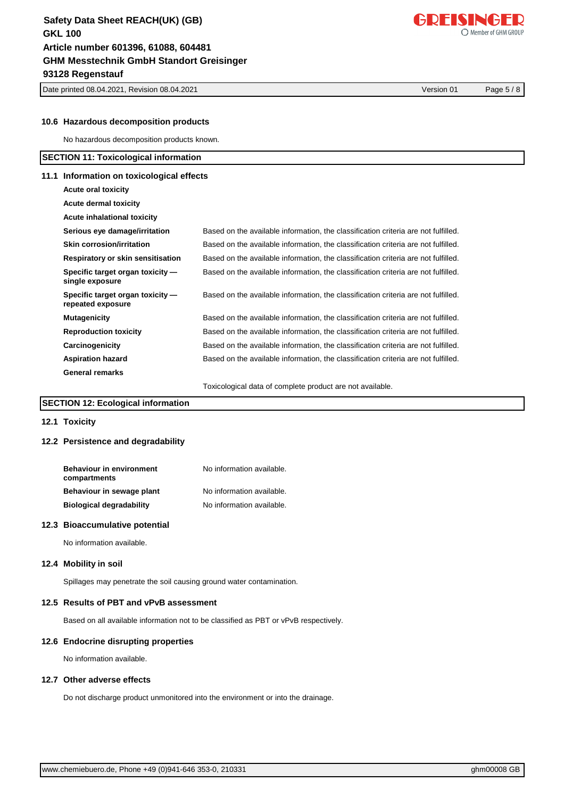Date printed 08.04.2021, Revision 08.04.2021 Version 01 Page 5 / 8

#### **10.6 Hazardous decomposition products**

No hazardous decomposition products known.

#### **SECTION 11: Toxicological information**

#### **11.1 Information on toxicological effects**

| Acute oral toxicity                                   |                                                                                    |
|-------------------------------------------------------|------------------------------------------------------------------------------------|
| <b>Acute dermal toxicity</b>                          |                                                                                    |
| Acute inhalational toxicity                           |                                                                                    |
| Serious eye damage/irritation                         | Based on the available information, the classification criteria are not fulfilled. |
| Skin corrosion/irritation                             | Based on the available information, the classification criteria are not fulfilled. |
| Respiratory or skin sensitisation                     | Based on the available information, the classification criteria are not fulfilled. |
| Specific target organ toxicity —<br>single exposure   | Based on the available information, the classification criteria are not fulfilled. |
| Specific target organ toxicity —<br>repeated exposure | Based on the available information, the classification criteria are not fulfilled. |
| <b>Mutagenicity</b>                                   | Based on the available information, the classification criteria are not fulfilled. |
| <b>Reproduction toxicity</b>                          | Based on the available information, the classification criteria are not fulfilled. |
| Carcinogenicity                                       | Based on the available information, the classification criteria are not fulfilled. |
| <b>Aspiration hazard</b>                              | Based on the available information, the classification criteria are not fulfilled. |
| <b>General remarks</b>                                |                                                                                    |
|                                                       | Toxicological data of complete product are not available.                          |

#### **SECTION 12: Ecological information**

#### **12.1 Toxicity**

#### **12.2 Persistence and degradability**

| <b>Behaviour in environment</b><br>compartments | No information available. |
|-------------------------------------------------|---------------------------|
| Behaviour in sewage plant                       | No information available. |
| <b>Biological degradability</b>                 | No information available. |

#### **12.3 Bioaccumulative potential**

No information available.

#### **12.4 Mobility in soil**

Spillages may penetrate the soil causing ground water contamination.

#### **12.5 Results of PBT and vPvB assessment**

Based on all available information not to be classified as PBT or vPvB respectively.

#### **12.6 Endocrine disrupting properties**

No information available.

#### **12.7 Other adverse effects**

Do not discharge product unmonitored into the environment or into the drainage.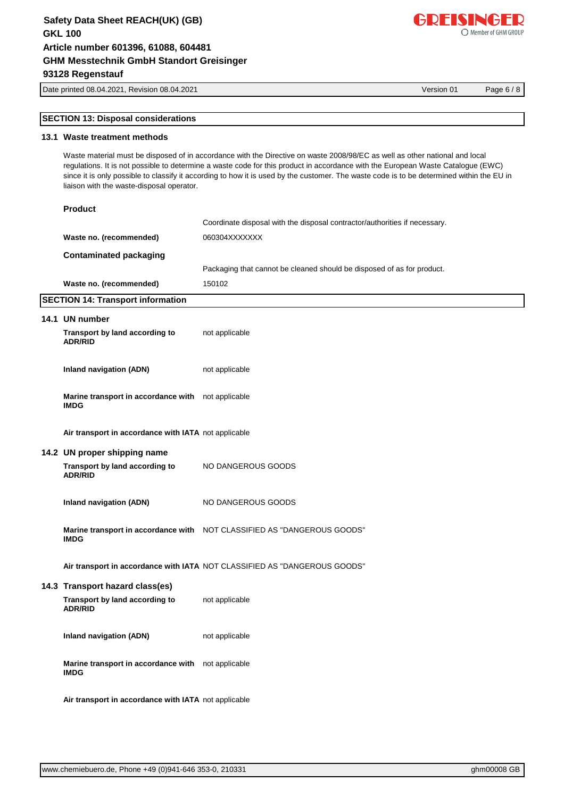Date printed 08.04.2021, Revision 08.04.2021 Version 01 Page 6 / 8

# **SECTION 13: Disposal considerations**

## **13.1 Waste treatment methods**

Waste material must be disposed of in accordance with the Directive on waste 2008/98/EC as well as other national and local regulations. It is not possible to determine a waste code for this product in accordance with the European Waste Catalogue (EWC) since it is only possible to classify it according to how it is used by the customer. The waste code is to be determined within the EU in liaison with the waste-disposal operator.

| <b>Product</b>                                                    |                                                                            |
|-------------------------------------------------------------------|----------------------------------------------------------------------------|
|                                                                   | Coordinate disposal with the disposal contractor/authorities if necessary. |
| Waste no. (recommended)                                           | 060304XXXXXXX                                                              |
| <b>Contaminated packaging</b>                                     |                                                                            |
|                                                                   | Packaging that cannot be cleaned should be disposed of as for product.     |
| Waste no. (recommended)                                           | 150102                                                                     |
| <b>SECTION 14: Transport information</b>                          |                                                                            |
| 14.1 UN number                                                    |                                                                            |
| Transport by land according to<br><b>ADR/RID</b>                  | not applicable                                                             |
| <b>Inland navigation (ADN)</b>                                    | not applicable                                                             |
| Marine transport in accordance with not applicable<br><b>IMDG</b> |                                                                            |
| Air transport in accordance with IATA not applicable              |                                                                            |
| 14.2 UN proper shipping name                                      |                                                                            |
| Transport by land according to<br><b>ADR/RID</b>                  | NO DANGEROUS GOODS                                                         |
| <b>Inland navigation (ADN)</b>                                    | NO DANGEROUS GOODS                                                         |
| <b>IMDG</b>                                                       | Marine transport in accordance with NOT CLASSIFIED AS "DANGEROUS GOODS"    |
|                                                                   | Air transport in accordance with IATA NOT CLASSIFIED AS "DANGEROUS GOODS"  |
| 14.3 Transport hazard class(es)                                   |                                                                            |
| Transport by land according to<br><b>ADR/RID</b>                  | not applicable                                                             |
| <b>Inland navigation (ADN)</b>                                    | not applicable                                                             |
| Marine transport in accordance with not applicable<br><b>IMDG</b> |                                                                            |
| Air transport in accordance with IATA not applicable              |                                                                            |

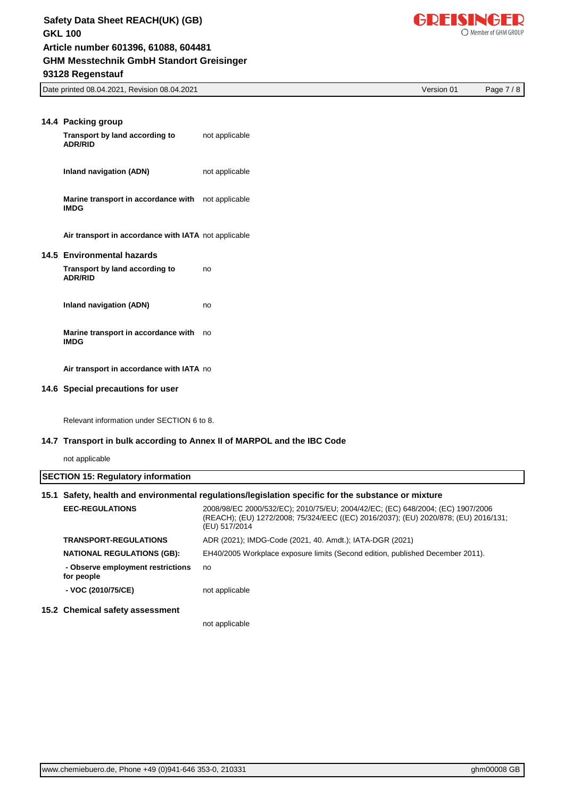

Date printed 08.04.2021, Revision 08.04.2021 Version 01 Page 7 / 8

| 14.4 Packing group<br>Transport by land according to<br><b>ADR/RID</b> | not applicable |
|------------------------------------------------------------------------|----------------|
| Inland navigation (ADN)                                                | not applicable |
| Marine transport in accordance with not applicable<br><b>IMDG</b>      |                |
| Air transport in accordance with IATA not applicable                   |                |
| 14.5 Environmental hazards                                             |                |
| Transport by land according to<br><b>ADR/RID</b>                       | no             |
| Inland navigation (ADN)                                                | no             |
| Marine transport in accordance with<br><b>IMDG</b>                     | no             |
| Air transport in accordance with IATA no                               |                |
| 14.6 Special precautions for user                                      |                |

Relevant information under SECTION 6 to 8.

#### **14.7 Transport in bulk according to Annex II of MARPOL and the IBC Code**

not applicable

| <b>SECTION 15: Regulatory information</b><br>15.1 Safety, health and environmental regulations/legislation specific for the substance or mixture |                                                                                                                                                                                        |  |
|--------------------------------------------------------------------------------------------------------------------------------------------------|----------------------------------------------------------------------------------------------------------------------------------------------------------------------------------------|--|
| <b>EEC-REGULATIONS</b>                                                                                                                           | 2008/98/EC 2000/532/EC); 2010/75/EU; 2004/42/EC; (EC) 648/2004; (EC) 1907/2006<br>(REACH); (EU) 1272/2008; 75/324/EEC ((EC) 2016/2037); (EU) 2020/878; (EU) 2016/131;<br>(EU) 517/2014 |  |
| <b>TRANSPORT-REGULATIONS</b>                                                                                                                     | ADR (2021); IMDG-Code (2021, 40. Amdt.); IATA-DGR (2021)                                                                                                                               |  |
| <b>NATIONAL REGULATIONS (GB):</b>                                                                                                                | EH40/2005 Workplace exposure limits (Second edition, published December 2011).                                                                                                         |  |
| - Observe employment restrictions<br>for people                                                                                                  | no                                                                                                                                                                                     |  |
| - VOC (2010/75/CE)                                                                                                                               | not applicable                                                                                                                                                                         |  |
| 15.2 Chemical safety assessment                                                                                                                  |                                                                                                                                                                                        |  |
|                                                                                                                                                  | not applicable                                                                                                                                                                         |  |